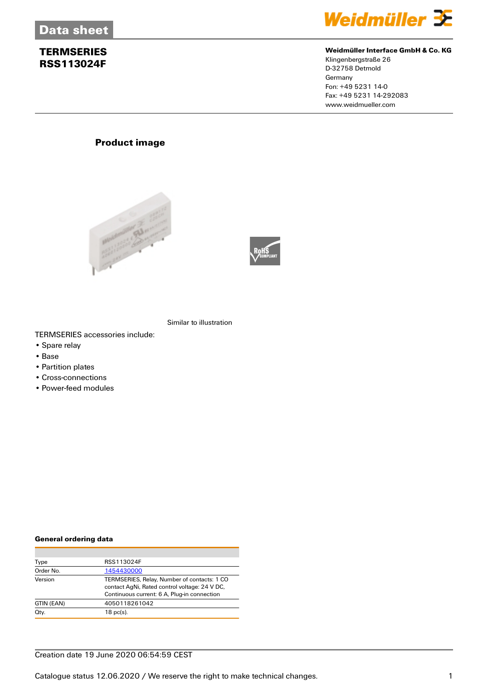

#### **Weidmüller Interface GmbH & Co. KG**

Klingenbergstraße 26 D-32758 Detmold **Germany** Fon: +49 5231 14-0 Fax: +49 5231 14-292083 www.weidmueller.com

## **Product image**





Similar to illustration

TERMSERIES accessories include:

- Spare relay
- Base
- Partition plates
- Cross-connections
- Power-feed modules

#### **General ordering data**

| Type       | RSS113024F                                                                                                                                  |
|------------|---------------------------------------------------------------------------------------------------------------------------------------------|
| Order No.  | 1454430000                                                                                                                                  |
| Version    | TERMSERIES, Relay, Number of contacts: 1 CO<br>contact AgNi, Rated control voltage: 24 V DC,<br>Continuous current: 6 A, Plug-in connection |
| GTIN (EAN) | 4050118261042                                                                                                                               |
| Qty.       | $18$ pc(s).                                                                                                                                 |

#### Creation date 19 June 2020 06:54:59 CEST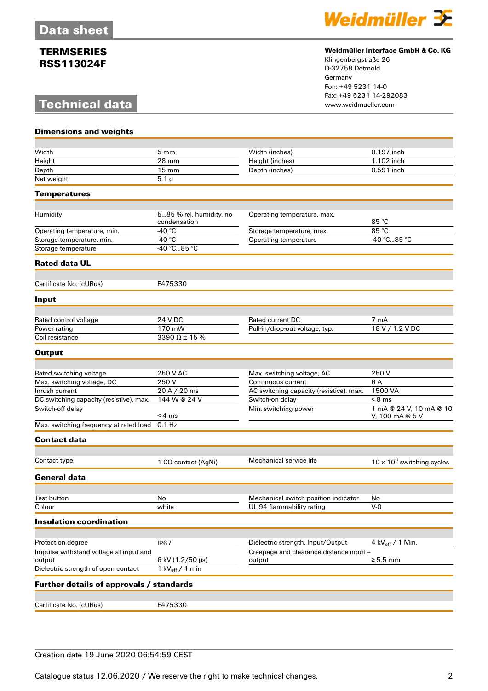# **Technical data**



#### **Weidmüller Interface GmbH & Co. KG**

Klingenbergstraße 26 D-32758 Detmold Germany Fon: +49 5231 14-0 Fax: +49 5231 14-292083

| <b>Dimensions and weights</b>                    |                                         |                                                   |                               |
|--------------------------------------------------|-----------------------------------------|---------------------------------------------------|-------------------------------|
|                                                  |                                         |                                                   |                               |
| Width                                            | $5 \text{ mm}$                          | Width (inches)                                    | 0.197 inch                    |
| Height                                           | 28 mm                                   | Height (inches)                                   | 1.102 inch                    |
| Depth                                            | $15 \text{ mm}$                         | Depth (inches)                                    | 0.591 inch                    |
| Net weight                                       | 5.1 <sub>g</sub>                        |                                                   |                               |
| <b>Temperatures</b>                              |                                         |                                                   |                               |
|                                                  |                                         |                                                   |                               |
| Humidity                                         | 585 % rel. humidity, no<br>condensation | Operating temperature, max.                       |                               |
| Operating temperature, min.                      | -40 $^{\circ}$ C                        | Storage temperature, max.                         | 85 °C                         |
| Storage temperature, min.                        | -40 $^{\circ}$ C                        | Operating temperature                             | -40 °C85 °C                   |
| Storage temperature                              | $-40 °C85 °C$                           |                                                   |                               |
| <b>Rated data UL</b>                             |                                         |                                                   |                               |
| Certificate No. (cURus)                          | E475330                                 |                                                   |                               |
| Input                                            |                                         |                                                   |                               |
|                                                  |                                         |                                                   |                               |
| Rated control voltage                            | 24 V DC                                 | Rated current DC                                  | 7 mA                          |
| Power rating                                     | 170 mW                                  | Pull-in/drop-out voltage, typ.                    | 18 V / 1.2 V DC               |
| Coil resistance                                  | 3390 $\Omega$ ± 15 %                    |                                                   |                               |
| <b>Output</b>                                    |                                         |                                                   |                               |
|                                                  |                                         |                                                   |                               |
| Rated switching voltage                          | 250 V AC                                | Max. switching voltage, AC                        | 250 V                         |
| Max. switching voltage, DC                       | 250V                                    | Continuous current                                | 6 A                           |
| Inrush current                                   | 20 A / 20 ms                            | AC switching capacity (resistive), max.           | 1500 VA                       |
| DC switching capacity (resistive), max.          | 144 W @ 24 V                            | Switch-on delay                                   | $< 8$ ms                      |
| Switch-off delay                                 |                                         | Min. switching power                              | 1 mA @ 24 V, 10 mA @ 10       |
| Max. switching frequency at rated load           | < 4 ms<br>$0.1$ Hz                      |                                                   | V, 100 mA @ 5 V               |
| <b>Contact data</b>                              |                                         |                                                   |                               |
|                                                  |                                         |                                                   |                               |
| Contact type                                     | 1 CO contact (AqNi)                     | Mechanical service life                           | 10 x $10^6$ switching cycles  |
| <b>General data</b>                              |                                         |                                                   |                               |
|                                                  |                                         |                                                   |                               |
| Test button                                      | No                                      | Mechanical switch position indicator              | No                            |
| Colour                                           | white                                   | UL 94 flammability rating                         | $V-0$                         |
| <b>Insulation coordination</b>                   |                                         |                                                   |                               |
|                                                  |                                         |                                                   |                               |
| Protection degree                                | <b>IP67</b>                             | Dielectric strength, Input/Output                 | 4 kV $_{\text{eff}}$ / 1 Min. |
| Impulse withstand voltage at input and<br>output | 6 kV (1.2/50 µs)                        | Creepage and clearance distance input -<br>output | $\geq 5.5$ mm                 |
| Dielectric strength of open contact              | 1 kV $_{\text{eff}}$ / 1 min            |                                                   |                               |
| Further details of approvals / standards         |                                         |                                                   |                               |
|                                                  |                                         |                                                   |                               |
| Certificate No. (cURus)                          | E475330                                 |                                                   |                               |

### Creation date 19 June 2020 06:54:59 CEST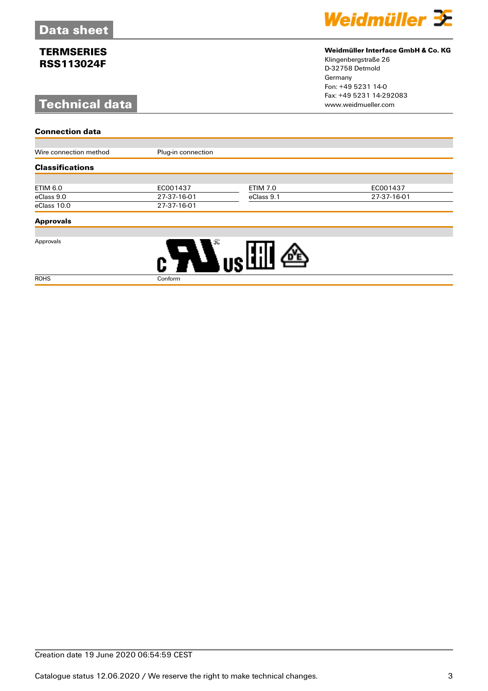# **Technical data**



#### **Weidmüller Interface GmbH & Co. KG**

Klingenbergstraße 26 D-32758 Detmold Germany Fon: +49 5231 14-0 Fax: +49 5231 14-292083

| <b>Connection data</b> |                    |                 |             |  |  |  |  |
|------------------------|--------------------|-----------------|-------------|--|--|--|--|
| Wire connection method | Plug-in connection |                 |             |  |  |  |  |
|                        |                    |                 |             |  |  |  |  |
| <b>Classifications</b> |                    |                 |             |  |  |  |  |
|                        |                    |                 |             |  |  |  |  |
| ETIM 6.0               | EC001437           | <b>ETIM 7.0</b> | EC001437    |  |  |  |  |
| eClass 9.0             | 27-37-16-01        | eClass 9.1      | 27-37-16-01 |  |  |  |  |
| eClass 10.0            | 27-37-16-01        |                 |             |  |  |  |  |

### **Approvals**

Approvals



ROHS Conform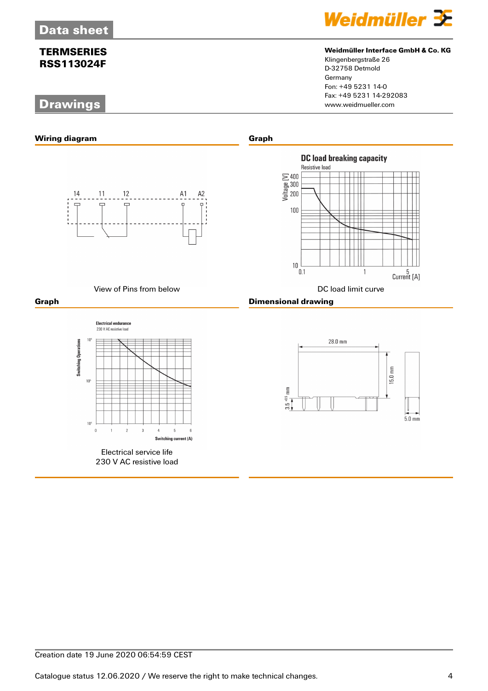# **Drawings**



#### **Weidmüller Interface GmbH & Co. KG**

Klingenbergstraße 26 D-32758 Detmold Germany Fon: +49 5231 14-0 Fax: +49 5231 14-292083